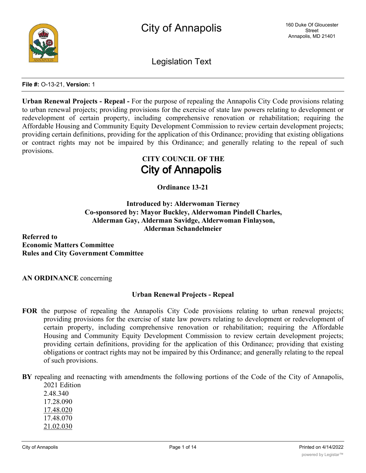

Legislation Text

#### **File #:** O-13-21, **Version:** 1

**Urban Renewal Projects - Repeal -** For the purpose of repealing the Annapolis City Code provisions relating to urban renewal projects; providing provisions for the exercise of state law powers relating to development or redevelopment of certain property, including comprehensive renovation or rehabilitation; requiring the Affordable Housing and Community Equity Development Commission to review certain development projects; providing certain definitions, providing for the application of this Ordinance; providing that existing obligations or contract rights may not be impaired by this Ordinance; and generally relating to the repeal of such provisions.

# **CITY COUNCIL OF THE City of Annapolis**

**Ordinance 13-21**

**Introduced by: Alderwoman Tierney Co-sponsored by: Mayor Buckley, Alderwoman Pindell Charles, Alderman Gay, Alderman Savidge, Alderwoman Finlayson, Alderman Schandelmeier**

**Referred to Economic Matters Committee Rules and City Government Committee**

**AN ORDINANCE** concerning

# **Urban Renewal Projects - Repeal**

- **FOR** the purpose of repealing the Annapolis City Code provisions relating to urban renewal projects; providing provisions for the exercise of state law powers relating to development or redevelopment of certain property, including comprehensive renovation or rehabilitation; requiring the Affordable Housing and Community Equity Development Commission to review certain development projects; providing certain definitions, providing for the application of this Ordinance; providing that existing obligations or contract rights may not be impaired by this Ordinance; and generally relating to the repeal of such provisions.
- **BY** repealing and reenacting with amendments the following portions of the Code of the City of Annapolis, 2021 Edition

2.48.340 17.28.090 17.48.020 17.48.070 21.02.030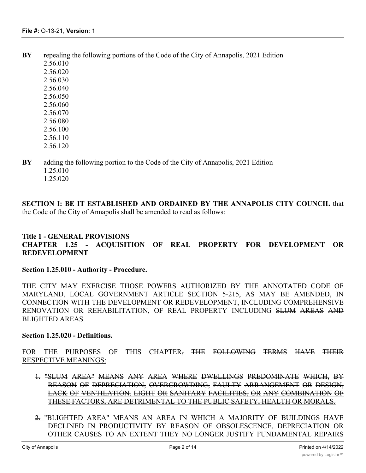- **BY** repealing the following portions of the Code of the City of Annapolis, 2021 Edition
	- 2.56.010 2.56.020 2.56.030 2.56.040 2.56.050 2.56.060 2.56.070 2.56.080 2.56.100 2.56.110
	- 2.56.120
- **BY** adding the following portion to the Code of the City of Annapolis, 2021 Edition 1.25.010 1.25.020
	-

**SECTION I: BE IT ESTABLISHED AND ORDAINED BY THE ANNAPOLIS CITY COUNCIL** that the Code of the City of Annapolis shall be amended to read as follows:

# **Title 1 - GENERAL PROVISIONS CHAPTER 1.25 - ACQUISITION OF REAL PROPERTY FOR DEVELOPMENT OR REDEVELOPMENT**

#### **Section 1.25.010 - Authority - Procedure.**

THE CITY MAY EXERCISE THOSE POWERS AUTHORIZED BY THE ANNOTATED CODE OF MARYLAND, LOCAL GOVERNMENT ARTICLE SECTION 5-215, AS MAY BE AMENDED, IN CONNECTION WITH THE DEVELOPMENT OR REDEVELOPMENT, INCLUDING COMPREHENSIVE RENOVATION OR REHABILITATION, OF REAL PROPERTY INCLUDING SLUM AREAS AND BLIGHTED AREAS.

# **Section 1.25.020 - Definitions.**

FOR THE PURPOSES OF THIS CHAPTER, THE FOLLOWING TERMS HAVE THEIR RESPECTIVE MEANINGS:

- 1. "SLUM AREA" MEANS ANY AREA WHERE DWELLINGS PREDOMINATE WHICH, BY REASON OF DEPRECIATION, OVERCROWDING, FAULTY ARRANGEMENT OR DESIGN, LACK OF VENTILATION, LIGHT OR SANITARY FACILITIES, OR ANY COMBINATION OF THESE FACTORS, ARE DETRIMENTAL TO THE PUBLIC SAFETY, HEALTH OR MORALS.
- 2. "BLIGHTED AREA" MEANS AN AREA IN WHICH A MAJORITY OF BUILDINGS HAVE DECLINED IN PRODUCTIVITY BY REASON OF OBSOLESCENCE, DEPRECIATION OR OTHER CAUSES TO AN EXTENT THEY NO LONGER JUSTIFY FUNDAMENTAL REPAIRS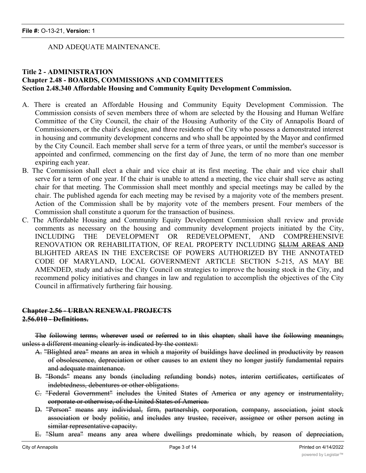## AND ADEQUATE MAINTENANCE.

# **Title 2 - ADMINISTRATION Chapter 2.48 - BOARDS, COMMISSIONS AND COMMITTEES Section 2.48.340 Affordable Housing and Community Equity Development Commission.**

- A. There is created an Affordable Housing and Community Equity Development Commission. The Commission consists of seven members three of whom are selected by the Housing and Human Welfare Committee of the City Council, the chair of the Housing Authority of the City of Annapolis Board of Commissioners, or the chair's designee, and three residents of the City who possess a demonstrated interest in housing and community development concerns and who shall be appointed by the Mayor and confirmed by the City Council. Each member shall serve for a term of three years, or until the member's successor is appointed and confirmed, commencing on the first day of June, the term of no more than one member expiring each year.
- B. The Commission shall elect a chair and vice chair at its first meeting. The chair and vice chair shall serve for a term of one year. If the chair is unable to attend a meeting, the vice chair shall serve as acting chair for that meeting. The Commission shall meet monthly and special meetings may be called by the chair. The published agenda for each meeting may be revised by a majority vote of the members present. Action of the Commission shall be by majority vote of the members present. Four members of the Commission shall constitute a quorum for the transaction of business.
- C. The Affordable Housing and Community Equity Development Commission shall review and provide comments as necessary on the housing and community development projects initiated by the City, INCLUDING THE DEVELOPMENT OR REDEVELOPMENT, AND COMPREHENSIVE RENOVATION OR REHABILITATION, OF REAL PROPERTY INCLUDING SLUM AREAS AND BLIGHTED AREAS IN THE EXCERCISE OF POWERS AUTHORIZED BY THE ANNOTATED CODE OF MARYLAND, LOCAL GOVERNMENT ARTICLE SECTION 5-215, AS MAY BE AMENDED, study and advise the City Council on strategies to improve the housing stock in the City, and recommend policy initiatives and changes in law and regulation to accomplish the objectives of the City Council in affirmatively furthering fair housing.

# **Chapter 2.56 - URBAN RENEWAL PROJECTS 2.56.010 - Definitions.**

The following terms, wherever used or referred to in this chapter, shall have the following meanings, unless a different meaning clearly is indicated by the context:

- A. "Blighted area" means an area in which a majority of buildings have declined in productivity by reason of obsolescence, depreciation or other causes to an extent they no longer justify fundamental repairs and adequate maintenance.
- B. "Bonds" means any bonds (including refunding bonds) notes, interim certificates, certificates of indebtedness, debentures or other obligations.
- C. "Federal Government" includes the United States of America or any agency or instrumentality, corporate or otherwise, of the United States of America.
- D. "Person" means any individual, firm, partnership, corporation, company, association, joint stock association or body politic, and includes any trustee, receiver, assignee or other person acting in similar representative capacity.
- E. "Slum area" means any area where dwellings predominate which, by reason of depreciation,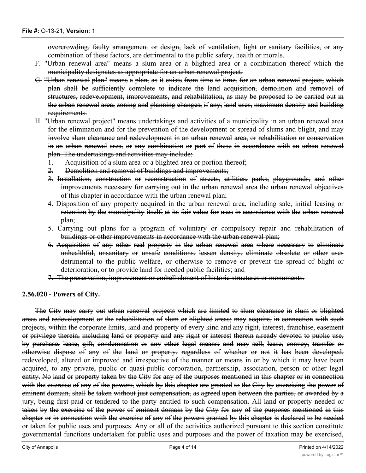overcrowding, faulty arrangement or design, lack of ventilation, light or sanitary facilities, or any combination of these factors, are detrimental to the public safety, health or morals.

- F. "Urban renewal area" means a slum area or a blighted area or a combination thereof which the municipality designates as appropriate for an urban renewal project.
- G. "Urban renewal plan" means a plan, as it exists from time to time, for an urban renewal project, which plan shall be sufficiently complete to indicate the land acquisition, demolition and removal of structures, redevelopment, improvements, and rehabilitation, as may be proposed to be carried out in the urban renewal area, zoning and planning changes, if any, land uses, maximum density and building requirements.
- H. "Urban renewal project" means undertakings and activities of a municipality in an urban renewal area for the elimination and for the prevention of the development or spread of slums and blight, and may involve slum clearance and redevelopment in an urban renewal area, or rehabilitation or conservation in an urban renewal area, or any combination or part of these in accordance with an urban renewal plan. The undertakings and activities may include:
	- 1. Acquisition of a slum area or a blighted area or portion thereof;
	- 2. Demolition and removal of buildings and improvements;
	- 3. Installation, construction or reconstruction of streets, utilities, parks, playgrounds, and other improvements necessary for carrying out in the urban renewal area the urban renewal objectives of this chapter in accordance with the urban renewal plan;
	- 4. Disposition of any property acquired in the urban renewal area, including sale, initial leasing or retention by the municipality itself, at its fair value for uses in accordance with the urban renewal plan;
	- 5. Carrying out plans for a program of voluntary or compulsory repair and rehabilitation of buildings or other improvements in accordance with the urban renewal plan;
	- 6. Acquisition of any other real property in the urban renewal area where necessary to eliminate unhealthful, unsanitary or unsafe conditions, lessen density, eliminate obsolete or other uses detrimental to the public welfare, or otherwise to remove or prevent the spread of blight or deterioration, or to provide land for needed public facilities; and
	- 7. The preservation, improvement or embellishment of historic structures or monuments.

# **2.56.020 - Powers of City.**

The City may carry out urban renewal projects which are limited to slum clearance in slum or blighted areas and redevelopment or the rehabilitation of slum or blighted areas; may acquire, in connection with such projects, within the corporate limits, land and property of every kind and any right, interest, franchise, easement or privilege therein, including land or property and any right or interest therein already devoted to public use, by purchase, lease, gift, condemnation or any other legal means; and may sell, lease, convey, transfer or otherwise dispose of any of the land or property, regardless of whether or not it has been developed, redeveloped, altered or improved and irrespective of the manner or means in or by which it may have been acquired, to any private, public or quasi-public corporation, partnership, association, person or other legal entity. No land or property taken by the City for any of the purposes mentioned in this chapter or in connection with the exercise of any of the powers, which by this chapter are granted to the City by exercising the power of eminent domain, shall be taken without just compensation, as agreed upon between the parties, or awarded by a jury, being first paid or tendered to the party entitled to such compensation. All land or property needed or taken by the exercise of the power of eminent domain by the City for any of the purposes mentioned in this chapter or in connection with the exercise of any of the powers granted by this chapter is declared to be needed or taken for public uses and purposes. Any or all of the activities authorized pursuant to this section constitute governmental functions undertaken for public uses and purposes and the power of taxation may be exercised,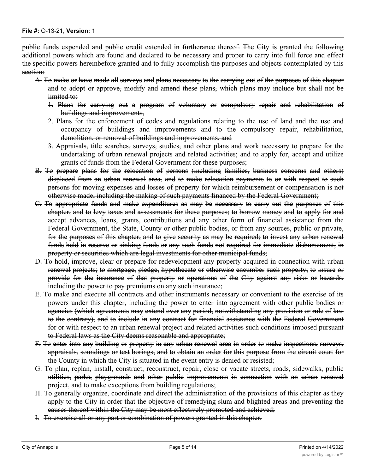public funds expended and public credit extended in furtherance thereof. The City is granted the following additional powers which are found and declared to be necessary and proper to carry into full force and effect the specific powers hereinbefore granted and to fully accomplish the purposes and objects contemplated by this section:

- A. To make or have made all surveys and plans necessary to the carrying out of the purposes of this chapter and to adopt or approve, modify and amend these plans, which plans may include but shall not be limited to:
	- 1. Plans for carrying out a program of voluntary or compulsory repair and rehabilitation of buildings and improvements,
	- 2. Plans for the enforcement of codes and regulations relating to the use of land and the use and occupancy of buildings and improvements and to the compulsory repair, rehabilitation, demolition, or removal of buildings and improvements, and
	- 3. Appraisals, title searches, surveys, studies, and other plans and work necessary to prepare for the undertaking of urban renewal projects and related activities; and to apply for, accept and utilize grants of funds from the Federal Government for these purposes;
- B. To prepare plans for the relocation of persons (including families, business concerns and others) displaced from an urban renewal area, and to make relocation payments to or with respect to such persons for moving expenses and losses of property for which reimbursement or compensation is not otherwise made, including the making of such payments financed by the Federal Government;
- C. To appropriate funds and make expenditures as may be necessary to carry out the purposes of this chapter, and to levy taxes and assessments for these purposes; to borrow money and to apply for and accept advances, loans, grants, contributions and any other form of financial assistance from the Federal Government, the State, County or other public bodies, or from any sources, public or private, for the purposes of this chapter, and to give security as may be required; to invest any urban renewal funds held in reserve or sinking funds or any such funds not required for immediate disbursement, in property or securities which are legal investments for other municipal funds;
- D. To hold, improve, clear or prepare for redevelopment any property acquired in connection with urban renewal projects; to mortgage, pledge, hypothecate or otherwise encumber such property; to insure or provide for the insurance of that property or operations of the City against any risks or hazards, including the power to pay premiums on any such insurance;
- E. To make and execute all contracts and other instruments necessary or convenient to the exercise of its powers under this chapter, including the power to enter into agreement with other public bodies or agencies (which agreements may extend over any period, notwithstanding any provision or rule of law to the contrary), and to include in any contract for financial assistance with the Federal Government for or with respect to an urban renewal project and related activities such conditions imposed pursuant to Federal laws as the City deems reasonable and appropriate;
- F. To enter into any building or property in any urban renewal area in order to make inspections, surveys, appraisals, soundings or test borings, and to obtain an order for this purpose from the circuit court for the County in which the City is situated in the event entry is denied or resisted;
- G. To plan, replan, install, construct, reconstruct, repair, close or vacate streets, roads, sidewalks, public utilities, parks, playgrounds and other public improvements in connection with an urban renewal project, and to make exceptions from building regulations;
- H. To generally organize, coordinate and direct the administration of the provisions of this chapter as they apply to the City in order that the objective of remedying slum and blighted areas and preventing the causes thereof within the City may be most effectively promoted and achieved;
- I. To exercise all or any part or combination of powers granted in this chapter.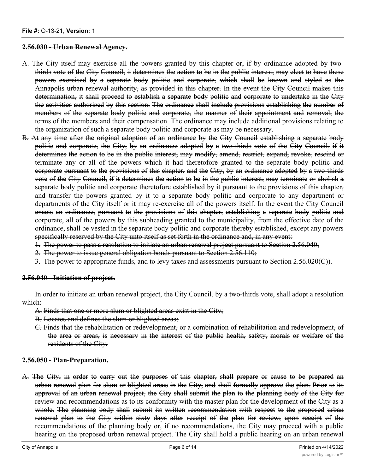#### **2.56.030 - Urban Renewal Agency.**

- A. The City itself may exercise all the powers granted by this chapter or, if by ordinance adopted by twothirds vote of the City Council, it determines the action to be in the public interest, may elect to have these powers exercised by a separate body politic and corporate, which shall be known and styled as the Annapolis urban renewal authority, as provided in this chapter. In the event the City Council makes this determination, it shall proceed to establish a separate body politic and corporate to undertake in the City the activities authorized by this section. The ordinance shall include provisions establishing the number of members of the separate body politic and corporate, the manner of their appointment and removal, the terms of the members and their compensation. The ordinance may include additional provisions relating to the organization of such a separate body politic and corporate as may be necessary.
- B. At any time after the original adoption of an ordinance by the City Council establishing a separate body politic and corporate, the City, by an ordinance adopted by a two-thirds vote of the City Council, if it determines the action to be in the public interest, may modify, amend, restrict, expand, revoke, rescind or terminate any or all of the powers which it had theretofore granted to the separate body politic and corporate pursuant to the provisions of this chapter, and the City, by an ordinance adopted by a two-thirds vote of the City Council, if it determines the action to be in the public interest, may terminate or abolish a separate body politic and corporate theretofore established by it pursuant to the provisions of this chapter, and transfer the powers granted by it to a separate body politic and corporate to any department or departments of the City itself or it may re-exercise all of the powers itself. In the event the City Council enacts an ordinance, pursuant to the provisions of this chapter, establishing a separate body politic and corporate, all of the powers by this subheading granted to the municipality, from the effective date of the ordinance, shall be vested in the separate body politic and corporate thereby established, except any powers specifically reserved by the City unto itself as set forth in the ordinance and, in any event:
	- 1. The power to pass a resolution to initiate an urban renewal project pursuant to Section 2.56.040;
	- 2. The power to issue general obligation bonds pursuant to Section 2.56.110;
	- 3. The power to appropriate funds, and to levy taxes and assessments pursuant to Section 2.56.020(C)).

#### **2.56.040 - Initiation of project.**

In order to initiate an urban renewal project, the City Council, by a two-thirds vote, shall adopt a resolution which:

- A. Finds that one or more slum or blighted areas exist in the City;
- B. Locates and defines the slum or blighted areas;
- C. Finds that the rehabilitation or redevelopment, or a combination of rehabilitation and redevelopment, of the area or areas, is necessary in the interest of the public health, safety, morals or welfare of the residents of the City.

#### **2.56.050 - Plan-Preparation.**

A. The City, in order to carry out the purposes of this chapter, shall prepare or cause to be prepared an urban renewal plan for slum or blighted areas in the City, and shall formally approve the plan. Prior to its approval of an urban renewal project, the City shall submit the plan to the planning body of the City for review and recommendations as to its conformity with the master plan for the development of the City as a whole. The planning body shall submit its written recommendation with respect to the proposed urban renewal plan to the City within sixty days after receipt of the plan for review; upon receipt of the recommendations of the planning body or, if no recommendations, the City may proceed with a public hearing on the proposed urban renewal project. The City shall hold a public hearing on an urban renewal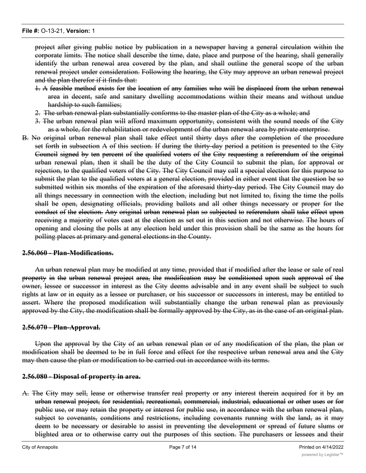project after giving public notice by publication in a newspaper having a general circulation within the corporate limits. The notice shall describe the time, date, place and purpose of the hearing, shall generally identify the urban renewal area covered by the plan, and shall outline the general scope of the urban renewal project under consideration. Following the hearing, the City may approve an urban renewal project and the plan therefor if it finds that:

- 1. A feasible method exists for the location of any families who will be displaced from the urban renewal area in decent, safe and sanitary dwelling accommodations within their means and without undue hardship to such families;
- 2. The urban renewal plan substantially conforms to the master plan of the City as a whole; and
- 3. The urban renewal plan will afford maximum opportunity, consistent with the sound needs of the City as a whole, for the rehabilitation or redevelopment of the urban renewal area by private enterprise.
- B. No original urban renewal plan shall take effect until thirty days after the completion of the procedure set forth in subsection A of this section. If during the thirty-day period a petition is presented to the City Council signed by ten percent of the qualified voters of the City requesting a referendum of the original urban renewal plan, then it shall be the duty of the City Council to submit the plan, for approval or rejection, to the qualified voters of the City. The City Council may call a special election for this purpose to submit the plan to the qualified voters at a general election, provided in either event that the question be so submitted within six months of the expiration of the aforesaid thirty-day period. The City Council may do all things necessary in connection with the election, including but not limited to, fixing the time the polls shall be open, designating officials, providing ballots and all other things necessary or proper for the conduct of the election. Any original urban renewal plan so subjected to referendum shall take effect upon receiving a majority of votes cast at the election as set out in this section and not otherwise. The hours of opening and closing the polls at any election held under this provision shall be the same as the hours for polling places at primary and general elections in the County.

#### **2.56.060 - Plan-Modifications.**

An urban renewal plan may be modified at any time, provided that if modified after the lease or sale of real property in the urban renewal project area, the modification may be conditioned upon such approval of the owner, lessee or successor in interest as the City deems advisable and in any event shall be subject to such rights at law or in equity as a lessee or purchaser, or his successor or successors in interest, may be entitled to assert. Where the proposed modification will substantially change the urban renewal plan as previously approved by the City, the modification shall be formally approved by the City, as in the case of an original plan.

#### **2.56.070 - Plan-Approval.**

Upon the approval by the City of an urban renewal plan or of any modification of the plan, the plan or modification shall be deemed to be in full force and effect for the respective urban renewal area and the City may then cause the plan or modification to be carried out in accordance with its terms.

#### **2.56.080 - Disposal of property in area.**

A. The City may sell, lease or otherwise transfer real property or any interest therein acquired for it by an urban renewal project, for residential, recreational, commercial, industrial, educational or other uses or for public use, or may retain the property or interest for public use, in accordance with the urban renewal plan, subject to covenants, conditions and restrictions, including covenants running with the land, as it may deem to be necessary or desirable to assist in preventing the development or spread of future slums or blighted area or to otherwise carry out the purposes of this section. The purchasers or lessees and their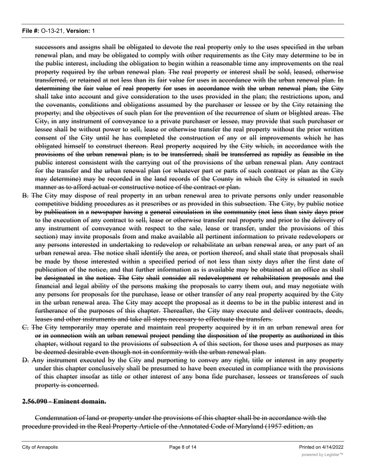successors and assigns shall be obligated to devote the real property only to the uses specified in the urban renewal plan, and may be obligated to comply with other requirements as the City may determine to be in the public interest, including the obligation to begin within a reasonable time any improvements on the real property required by the urban renewal plan. The real property or interest shall be sold, leased, otherwise transferred, or retained at not less than its fair value for uses in accordance with the urban renewal plan. In determining the fair value of real property for uses in accordance with the urban renewal plan, the City shall take into account and give consideration to the uses provided in the plan; the restrictions upon, and the covenants, conditions and obligations assumed by the purchaser or lessee or by the City retaining the property; and the objectives of such plan for the prevention of the recurrence of slum or blighted areas. The City, in any instrument of conveyance to a private purchaser or lessee, may provide that such purchaser or lessee shall be without power to sell, lease or otherwise transfer the real property without the prior written consent of the City until he has completed the construction of any or all improvements which he has obligated himself to construct thereon. Real property acquired by the City which, in accordance with the provisions of the urban renewal plan, is to be transferred, shall be transferred as rapidly as feasible in the public interest consistent with the carrying out of the provisions of the urban renewal plan. Any contract for the transfer and the urban renewal plan (or whatever part or parts of such contract or plan as the City may determine) may be recorded in the land records of the County in which the City is situated in such manner as to afford actual or constructive notice of the contract or plan.

- B. The City may dispose of real property in an urban renewal area to private persons only under reasonable competitive bidding procedures as it prescribes or as provided in this subsection. The City, by public notice by publication in a newspaper having a general circulation in the community (not less than sixty days prior to the execution of any contract to sell, lease or otherwise transfer real property and prior to the delivery of any instrument of conveyance with respect to the sale, lease or transfer, under the provisions of this section) may invite proposals from and make available all pertinent information to private redevelopers or any persons interested in undertaking to redevelop or rehabilitate an urban renewal area, or any part of an urban renewal area. The notice shall identify the area, or portion thereof, and shall state that proposals shall be made by those interested within a specified period of not less than sixty days after the first date of publication of the notice, and that further information as is available may be obtained at an office as shall be designated in the notice. The City shall consider all redevelopment or rehabilitation proposals and the financial and legal ability of the persons making the proposals to carry them out, and may negotiate with any persons for proposals for the purchase, lease or other transfer of any real property acquired by the City in the urban renewal area. The City may accept the proposal as it deems to be in the public interest and in furtherance of the purposes of this chapter. Thereafter, the City may execute and deliver contracts, deeds, leases and other instruments and take all steps necessary to effectuate the transfers.
- C. The City temporarily may operate and maintain real property acquired by it in an urban renewal area for or in connection with an urban renewal project pending the disposition of the property as authorized in this chapter, without regard to the provisions of subsection A of this section, for those uses and purposes as may be deemed desirable even though not in conformity with the urban renewal plan.
- D. Any instrument executed by the City and purporting to convey any right, title or interest in any property under this chapter conclusively shall be presumed to have been executed in compliance with the provisions of this chapter insofar as title or other interest of any bona fide purchaser, lessees or transferees of such property is concerned.

#### **2.56.090 - Eminent domain.**

Condemnation of land or property under the provisions of this chapter shall be in accordance with the procedure provided in the Real Property Article of the Annotated Code of Maryland (1957 edition, as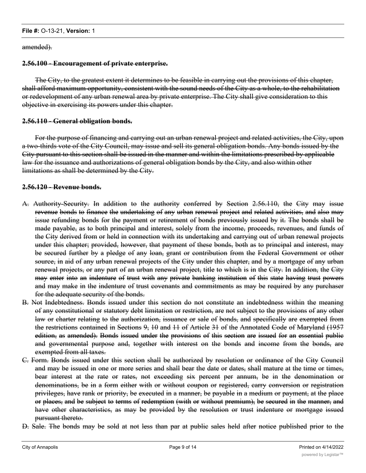amended).

## **2.56.100 - Encouragement of private enterprise.**

The City, to the greatest extent it determines to be feasible in carrying out the provisions of this chapter, shall afford maximum opportunity, consistent with the sound needs of the City as a whole, to the rehabilitation or redevelopment of any urban renewal area by private enterprise. The City shall give consideration to this objective in exercising its powers under this chapter.

#### **2.56.110 - General obligation bonds.**

For the purpose of financing and carrying out an urban renewal project and related activities, the City, upon a two-thirds vote of the City Council, may issue and sell its general obligation bonds. Any bonds issued by the City pursuant to this section shall be issued in the manner and within the limitations prescribed by applicable law for the issuance and authorizations of general obligation bonds by the City, and also within other limitations as shall be determined by the City.

# **2.56.120 - Revenue bonds.**

- A. Authority-Security. In addition to the authority conferred by Section 2.56.110, the City may issue revenue bonds to finance the undertaking of any urban renewal project and related activities, and also may issue refunding bonds for the payment or retirement of bonds previously issued by it. The bonds shall be made payable, as to both principal and interest, solely from the income, proceeds, revenues, and funds of the City derived from or held in connection with its undertaking and carrying out of urban renewal projects under this chapter; provided, however, that payment of these bonds, both as to principal and interest, may be secured further by a pledge of any loan, grant or contribution from the Federal Government or other source, in aid of any urban renewal projects of the City under this chapter, and by a mortgage of any urban renewal projects, or any part of an urban renewal project, title to which is in the City. In addition, the City may enter into an indenture of trust with any private banking institution of this state having trust powers and may make in the indenture of trust covenants and commitments as may be required by any purchaser for the adequate security of the bonds.
- B. Not Indebtedness. Bonds issued under this section do not constitute an indebtedness within the meaning of any constitutional or statutory debt limitation or restriction, are not subject to the provisions of any other law or charter relating to the authorization, issuance or sale of bonds, and specifically are exempted from the restrictions contained in Sections 9, 10 and 11 of Article 31 of the Annotated Code of Maryland (1957 edition, as amended). Bonds issued under the provisions of this section are issued for an essential public and governmental purpose and, together with interest on the bonds and income from the bonds, are exempted from all taxes.
- C. Form. Bonds issued under this section shall be authorized by resolution or ordinance of the City Council and may be issued in one or more series and shall bear the date or dates, shall mature at the time or times, bear interest at the rate or rates, not exceeding six percent per annum, be in the denomination or denominations, be in a form either with or without coupon or registered, carry conversion or registration privileges, have rank or priority, be executed in a manner, be payable in a medium or payment, at the place or places, and be subject to terms of redemption (with or without premium), be secured in the manner, and have other characteristics, as may be provided by the resolution or trust indenture or mortgage issued pursuant thereto.
- D. Sale. The bonds may be sold at not less than par at public sales held after notice published prior to the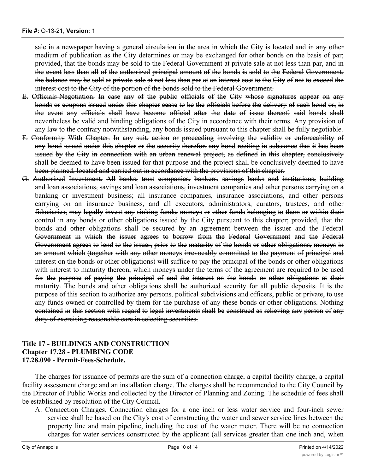sale in a newspaper having a general circulation in the area in which the City is located and in any other medium of publication as the City determines or may be exchanged for other bonds on the basis of par; provided, that the bonds may be sold to the Federal Government at private sale at not less than par, and in the event less than all of the authorized principal amount of the bonds is sold to the Federal Government, the balance may be sold at private sale at not less than par at an interest cost to the City of not to exceed the interest cost to the City of the portion of the bonds sold to the Federal Government.

- E. Officials-Negotiation. In case any of the public officials of the City whose signatures appear on any bonds or coupons issued under this chapter cease to be the officials before the delivery of such bond or, in the event any officials shall have become official after the date of issue thereof, said bonds shall nevertheless be valid and binding obligations of the City in accordance with their terms. Any provision of any law to the contrary notwithstanding, any bonds issued pursuant to this chapter shall be fully negotiable.
- F. Conformity With Chapter. In any suit, action or proceeding involving the validity or enforceability of any bond issued under this chapter or the security therefor, any bond reciting in substance that it has been issued by the City in connection with an urban renewal project, as defined in this chapter, conclusively shall be deemed to have been issued for that purpose and the project shall be conclusively deemed to have been planned, located and carried out in accordance with the provisions of this chapter.
- G. Authorized Investment. All banks, trust companies, bankers, savings banks and institutions, building and loan associations, savings and loan associations, investment companies and other persons carrying on a banking or investment business; all insurance companies, insurance associations, and other persons carrying on an insurance business, and all executors, administrators, curators, trustees, and other fiduciaries, may legally invest any sinking funds, moneys or other funds belonging to them or within their control in any bonds or other obligations issued by the City pursuant to this chapter; provided, that the bonds and other obligations shall be secured by an agreement between the issuer and the Federal Government in which the issuer agrees to borrow from the Federal Government and the Federal Government agrees to lend to the issuer, prior to the maturity of the bonds or other obligations, moneys in an amount which (together with any other moneys irrevocably committed to the payment of principal and interest on the bonds or other obligations) will suffice to pay the principal of the bonds or other obligations with interest to maturity thereon, which moneys under the terms of the agreement are required to be used for the purpose of paying the principal of and the interest on the bonds or other obligations at their maturity. The bonds and other obligations shall be authorized security for all public deposits. It is the purpose of this section to authorize any persons, political subdivisions and officers, public or private, to use any funds owned or controlled by them for the purchase of any these bonds or other obligations. Nothing contained in this section with regard to legal investments shall be construed as relieving any person of any duty of exercising reasonable care in selecting securities.

# **Title 17 - BUILDINGS AND CONSTRUCTION Chapter 17.28 - PLUMBING CODE 17.28.090 - Permit-Fees-Schedule.**

The charges for issuance of permits are the sum of a connection charge, a capital facility charge, a capital facility assessment charge and an installation charge. The charges shall be recommended to the City Council by the Director of Public Works and collected by the Director of Planning and Zoning. The schedule of fees shall be established by resolution of the City Council.

A. Connection Charges. Connection charges for a one inch or less water service and four-inch sewer service shall be based on the City's cost of constructing the water and sewer service lines between the property line and main pipeline, including the cost of the water meter. There will be no connection charges for water services constructed by the applicant (all services greater than one inch and, when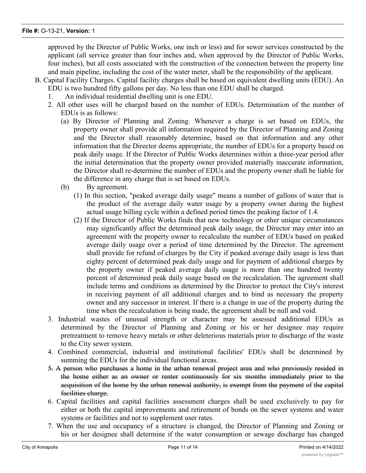approved by the Director of Public Works, one inch or less) and for sewer services constructed by the applicant (all service greater than four inches and, when approved by the Director of Public Works, four inches), but all costs associated with the construction of the connection between the property line and main pipeline, including the cost of the water meter, shall be the responsibility of the applicant.

- B. Capital Facility Charges. Capital facility charges shall be based on equivalent dwelling units (EDU). An EDU is two hundred fifty gallons per day. No less than one EDU shall be charged.
	- 1. An individual residential dwelling unit is one EDU.
	- 2. All other uses will be charged based on the number of EDUs. Determination of the number of EDUs is as follows:
		- (a) By Director of Planning and Zoning. Whenever a charge is set based on EDUs, the property owner shall provide all information required by the Director of Planning and Zoning and the Director shall reasonably determine, based on that information and any other information that the Director deems appropriate, the number of EDUs for a property based on peak daily usage. If the Director of Public Works determines within a three-year period after the initial determination that the property owner provided materially inaccurate information, the Director shall re-determine the number of EDUs and the property owner shall be liable for the difference in any charge that is set based on EDUs.
		- (b) By agreement.
			- (1) In this section, "peaked average daily usage" means a number of gallons of water that is the product of the average daily water usage by a property owner during the highest actual usage billing cycle within a defined period times the peaking factor of 1.4.
			- (2) If the Director of Public Works finds that new technology or other unique circumstances may significantly affect the determined peak daily usage, the Director may enter into an agreement with the property owner to recalculate the number of EDUs based on peaked average daily usage over a period of time determined by the Director. The agreement shall provide for refund of charges by the City if peaked average daily usage is less than eighty percent of determined peak daily usage and for payment of additional charges by the property owner if peaked average daily usage is more than one hundred twenty percent of determined peak daily usage based on the recalculation. The agreement shall include terms and conditions as determined by the Director to protect the City's interest in receiving payment of all additional charges and to bind as necessary the property owner and any successor in interest. If there is a change in use of the property during the time when the recalculation is being made, the agreement shall be null and void.
	- 3. Industrial wastes of unusual strength or character may be assessed additional EDUs as determined by the Director of Planning and Zoning or his or her designee may require pretreatment to remove heavy metals or other deleterious materials prior to discharge of the waste to the City sewer system.
	- 4. Combined commercial, industrial and institutional facilities' EDUs shall be determined by summing the EDUs for the individual functional areas.
	- 5. A person who purchases a home in the urban renewal project area and who previously resided in the home either as an owner or renter continuously for six months immediately prior to the acquisition of the home by the urban renewal authority, is exempt from the payment of the capital facilities charge.
	- 6. Capital facilities and capital facilities assessment charges shall be used exclusively to pay for either or both the capital improvements and retirement of bonds on the sewer systems and water systems or facilities and not to supplement user rates.
	- 7. When the use and occupancy of a structure is changed, the Director of Planning and Zoning or his or her designee shall determine if the water consumption or sewage discharge has changed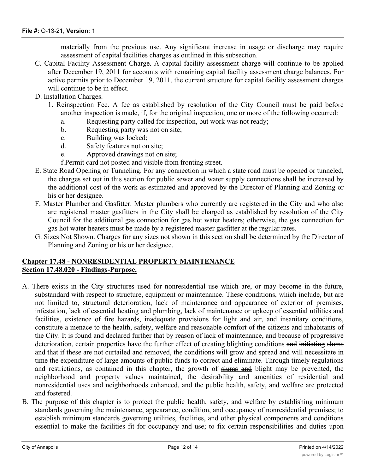materially from the previous use. Any significant increase in usage or discharge may require assessment of capital facilities charges as outlined in this subsection.

- C. Capital Facility Assessment Charge. A capital facility assessment charge will continue to be applied after December 19, 2011 for accounts with remaining capital facility assessment charge balances. For active permits prior to December 19, 2011, the current structure for capital facility assessment charges will continue to be in effect.
- D. Installation Charges.
	- 1. Reinspection Fee. A fee as established by resolution of the City Council must be paid before another inspection is made, if, for the original inspection, one or more of the following occurred:
		- a. Requesting party called for inspection, but work was not ready;
		- b. Requesting party was not on site;
		- c. Building was locked;
		- d. Safety features not on site;
		- e. Approved drawings not on site;

f.Permit card not posted and visible from fronting street.

- E. State Road Opening or Tunneling. For any connection in which a state road must be opened or tunneled, the charges set out in this section for public sewer and water supply connections shall be increased by the additional cost of the work as estimated and approved by the Director of Planning and Zoning or his or her designee.
- F. Master Plumber and Gasfitter. Master plumbers who currently are registered in the City and who also are registered master gasfitters in the City shall be charged as established by resolution of the City Council for the additional gas connection for gas hot water heaters; otherwise, the gas connection for gas hot water heaters must be made by a registered master gasfitter at the regular rates.
- G. Sizes Not Shown. Charges for any sizes not shown in this section shall be determined by the Director of Planning and Zoning or his or her designee.

# **Chapter 17.48 - NONRESIDENTIAL PROPERTY MAINTENANCE Section 17.48.020 - Findings-Purpose.**

- A. There exists in the City structures used for nonresidential use which are, or may become in the future, substandard with respect to structure, equipment or maintenance. These conditions, which include, but are not limited to, structural deterioration, lack of maintenance and appearance of exterior of premises, infestation, lack of essential heating and plumbing, lack of maintenance or upkeep of essential utilities and facilities, existence of fire hazards, inadequate provisions for light and air, and insanitary conditions, constitute a menace to the health, safety, welfare and reasonable comfort of the citizens and inhabitants of the City. It is found and declared further that by reason of lack of maintenance, and because of progressive deterioration, certain properties have the further effect of creating blighting conditions and initiating slums and that if these are not curtailed and removed, the conditions will grow and spread and will necessitate in time the expenditure of large amounts of public funds to correct and eliminate. Through timely regulations and restrictions, as contained in this chapter, the growth of slums and blight may be prevented, the neighborhood and property values maintained, the desirability and amenities of residential and nonresidential uses and neighborhoods enhanced, and the public health, safety, and welfare are protected and fostered.
- B. The purpose of this chapter is to protect the public health, safety, and welfare by establishing minimum standards governing the maintenance, appearance, condition, and occupancy of nonresidential premises; to establish minimum standards governing utilities, facilities, and other physical components and conditions essential to make the facilities fit for occupancy and use; to fix certain responsibilities and duties upon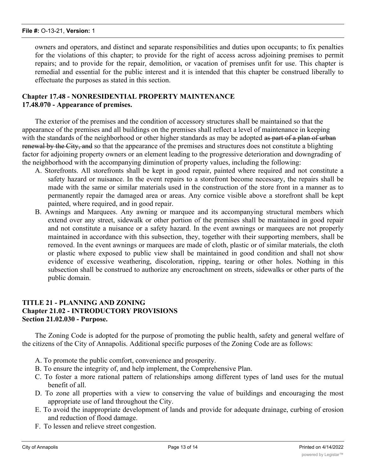owners and operators, and distinct and separate responsibilities and duties upon occupants; to fix penalties for the violations of this chapter; to provide for the right of access across adjoining premises to permit repairs; and to provide for the repair, demolition, or vacation of premises unfit for use. This chapter is remedial and essential for the public interest and it is intended that this chapter be construed liberally to effectuate the purposes as stated in this section.

# **Chapter 17.48 - NONRESIDENTIAL PROPERTY MAINTENANCE 17.48.070 - Appearance of premises.**

The exterior of the premises and the condition of accessory structures shall be maintained so that the appearance of the premises and all buildings on the premises shall reflect a level of maintenance in keeping with the standards of the neighborhood or other higher standards as may be adopted as part of a plan of urban renewal by the City, and so that the appearance of the premises and structures does not constitute a blighting factor for adjoining property owners or an element leading to the progressive deterioration and downgrading of the neighborhood with the accompanying diminution of property values, including the following:

- A. Storefronts. All storefronts shall be kept in good repair, painted where required and not constitute a safety hazard or nuisance. In the event repairs to a storefront become necessary, the repairs shall be made with the same or similar materials used in the construction of the store front in a manner as to permanently repair the damaged area or areas. Any cornice visible above a storefront shall be kept painted, where required, and in good repair.
- B. Awnings and Marquees. Any awning or marquee and its accompanying structural members which extend over any street, sidewalk or other portion of the premises shall be maintained in good repair and not constitute a nuisance or a safety hazard. In the event awnings or marquees are not properly maintained in accordance with this subsection, they, together with their supporting members, shall be removed. In the event awnings or marquees are made of cloth, plastic or of similar materials, the cloth or plastic where exposed to public view shall be maintained in good condition and shall not show evidence of excessive weathering, discoloration, ripping, tearing or other holes. Nothing in this subsection shall be construed to authorize any encroachment on streets, sidewalks or other parts of the public domain.

# **TITLE 21 - PLANNING AND ZONING Chapter 21.02 - INTRODUCTORY PROVISIONS Section 21.02.030 - Purpose.**

The Zoning Code is adopted for the purpose of promoting the public health, safety and general welfare of the citizens of the City of Annapolis. Additional specific purposes of the Zoning Code are as follows:

- A. To promote the public comfort, convenience and prosperity.
- B. To ensure the integrity of, and help implement, the Comprehensive Plan.
- C. To foster a more rational pattern of relationships among different types of land uses for the mutual benefit of all.
- D. To zone all properties with a view to conserving the value of buildings and encouraging the most appropriate use of land throughout the City.
- E. To avoid the inappropriate development of lands and provide for adequate drainage, curbing of erosion and reduction of flood damage.
- F. To lessen and relieve street congestion.